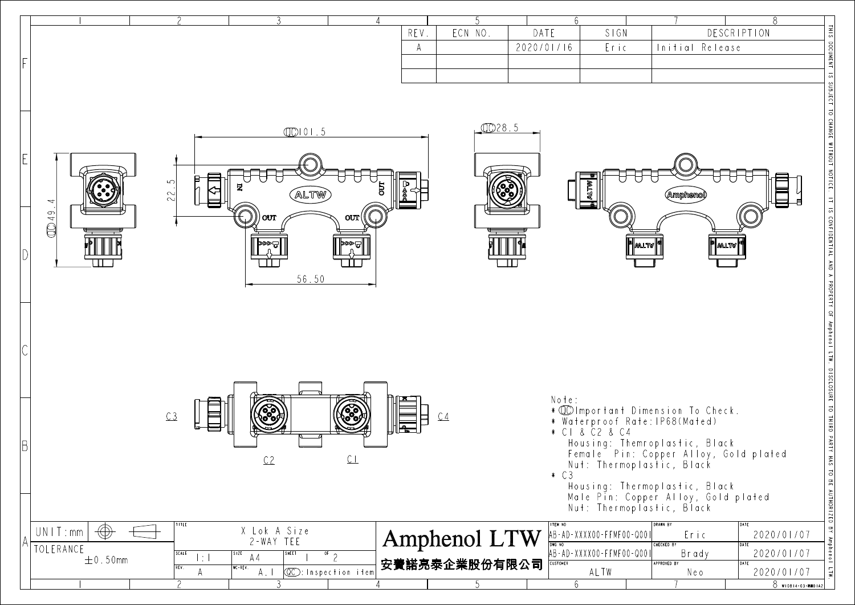|                                     |                                |                                                   |                                                   |      |                |                 |                                                  |                                                                        | 8                                |
|-------------------------------------|--------------------------------|---------------------------------------------------|---------------------------------------------------|------|----------------|-----------------|--------------------------------------------------|------------------------------------------------------------------------|----------------------------------|
|                                     |                                |                                                   |                                                   | REV. | ECN NO.        | DATE            | SIGN                                             |                                                                        | DESCRIPTION                      |
|                                     |                                |                                                   |                                                   | A    |                | 2020/01/16      | Eric                                             | Initial Release                                                        |                                  |
|                                     |                                |                                                   |                                                   |      |                |                 |                                                  |                                                                        |                                  |
|                                     |                                |                                                   |                                                   |      |                |                 |                                                  |                                                                        |                                  |
|                                     |                                | $QCD$ $101.5$                                     |                                                   |      | 0028.5         |                 |                                                  |                                                                        |                                  |
|                                     |                                |                                                   |                                                   |      |                |                 |                                                  |                                                                        |                                  |
|                                     | $\infty$                       |                                                   |                                                   |      |                |                 |                                                  |                                                                        |                                  |
| 4                                   | 22.                            | ALTW                                              | $5\overline{a}$                                   |      |                |                 |                                                  | \mpher                                                                 |                                  |
| CD 49.                              |                                | OUT                                               | OUT                                               |      |                |                 |                                                  |                                                                        |                                  |
|                                     |                                | l≫≫⊐                                              | ।ଇ≪≼।                                             |      |                |                 | ¶ฒน™∥                                            | " matv                                                                 |                                  |
|                                     |                                |                                                   |                                                   |      |                |                 |                                                  |                                                                        |                                  |
|                                     |                                | 56.50                                             |                                                   |      |                |                 |                                                  |                                                                        |                                  |
|                                     |                                |                                                   |                                                   |      |                |                 |                                                  |                                                                        |                                  |
|                                     |                                |                                                   |                                                   |      |                |                 |                                                  |                                                                        |                                  |
|                                     |                                |                                                   |                                                   |      |                |                 |                                                  |                                                                        |                                  |
|                                     |                                |                                                   |                                                   |      |                |                 |                                                  |                                                                        |                                  |
|                                     |                                |                                                   |                                                   |      |                | Note:           |                                                  | * 10 Important Dimension To Check.                                     |                                  |
|                                     | C3                             |                                                   |                                                   |      | C <sub>4</sub> |                 | * Waterproof Rate: IP68(Mated)<br>* CI & C2 & C4 |                                                                        |                                  |
|                                     |                                |                                                   |                                                   |      |                |                 |                                                  | Housing: Themroplastic, Black<br>Female Pin: Copper Alloy, Gold plated |                                  |
|                                     |                                | C2                                                | CL                                                |      |                | $\ast$ C 3      |                                                  | Nut: Thermoplastic, Black                                              |                                  |
|                                     |                                |                                                   |                                                   |      |                |                 |                                                  | Housing: Thermoplastic, Black<br>Male Pin: Copper Alloy, Gold plated   |                                  |
|                                     | TITLE                          |                                                   |                                                   |      |                | <b>ITEM NO</b>  | Nut: Thermoplastic, Black                        | <b>DRAWN BY</b>                                                        | DATE                             |
| $\bigoplus$<br>UNIT:mm<br>TOLERANCE |                                | X Lok A Size<br>2-WAY TEE                         |                                                   |      | Amphenol LTW   |                 | AB-AD-XXXX00-FFMF00-Q001                         | Eric<br><b>CHECKED BY</b>                                              | 2020/01/07<br>DATE               |
| $\pm$ 0.50mm                        | SCALE<br>$ \div $<br>REV.<br>A | SHEET<br>SIZE<br>A4<br>$WC - REV.$<br>$A_{\perp}$ | $rac{1}{\sqrt{2}}$<br><b>CC</b> : Inspection item |      | 安費諾亮泰企業股份有限公司  | <b>CUSTOMER</b> | AB-AD-XXXX00-FFMF00-Q001<br>ALTW                 | Brady<br>APPROVED BY<br>Neo                                            | 2020/01/07<br>DATE<br>2020/01/07 |
|                                     |                                |                                                   |                                                   |      |                | 6               |                                                  |                                                                        | 8 W10814-03-8001A2               |